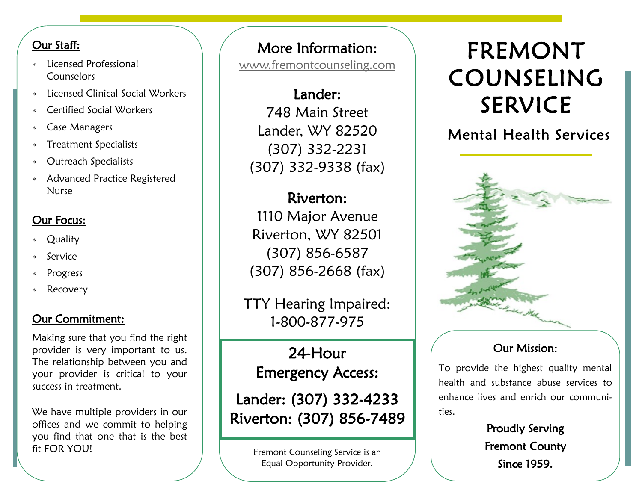### Our Staff:

- Licensed Professional **Counselors**
- Licensed Clinical Social Workers
- Certified Social Workers
- Case Managers
- Treatment Specialists
- Outreach Specialists
- Advanced Practice Registered Nurse

## Our Focus:

- **Quality**
- Service
- **Progress**
- Recovery

## Our Commitment:

Making sure that you find the right provider is very important to us. The relationship between you and your provider is critical to your success in treatment.

We have multiple providers in our offices and we commit to helping you find that one that is the best fit FOR YOU!

# More Information:

[www.fremontcounseling.com](http://www.fremontcounseling.com)

Lander: 748 Main Street Lander, WY 82520 (307) 332-2231 (307) 332-9338 (fax)

Riverton: 1110 Major Avenue Riverton, WY 82501 (307) 856-6587 (307) 856-2668 (fax)

TTY Hearing Impaired: 1-800-877-975

24-Hour Emergency Access:

Lander: (307) 332-4233 Riverton: (307) 856-7489

> Fremont Counseling Service is an Equal Opportunity Provider.

# FREMONT COUNSELING SERVICE

## Mental Health Services



## Our Mission:

To provide the highest quality mental health and substance abuse services to enhance lives and enrich our communities.

> Proudly Serving Fremont County Since 1959.